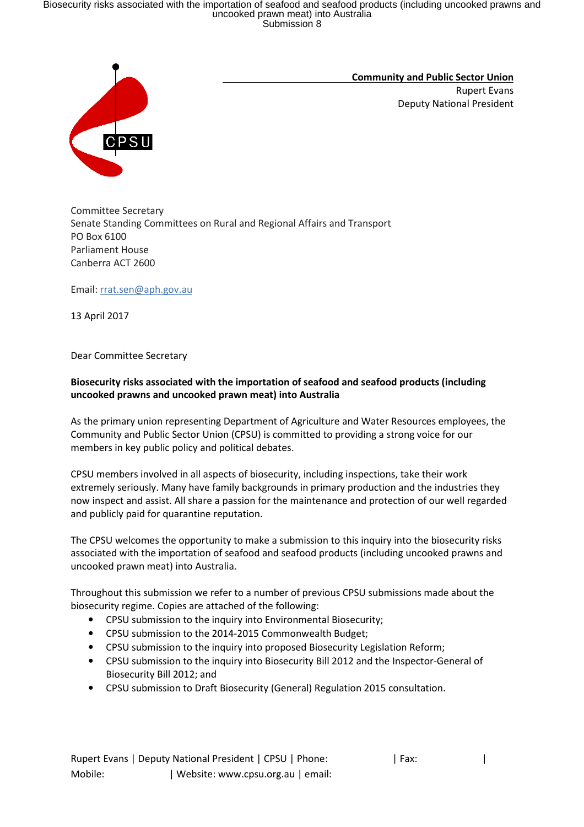

 **Community and Public Sector Union**  Rupert Evans Deputy National President

Committee Secretary Senate Standing Committees on Rural and Regional Affairs and Transport PO Box 6100 Parliament House Canberra ACT 2600

Email: rrat.sen@aph.gov.au

13 April 2017

Dear Committee Secretary

### **Biosecurity risks associated with the importation of seafood and seafood products (including uncooked prawns and uncooked prawn meat) into Australia**

As the primary union representing Department of Agriculture and Water Resources employees, the Community and Public Sector Union (CPSU) is committed to providing a strong voice for our members in key public policy and political debates.

CPSU members involved in all aspects of biosecurity, including inspections, take their work extremely seriously. Many have family backgrounds in primary production and the industries they now inspect and assist. All share a passion for the maintenance and protection of our well regarded and publicly paid for quarantine reputation.

The CPSU welcomes the opportunity to make a submission to this inquiry into the biosecurity risks associated with the importation of seafood and seafood products (including uncooked prawns and uncooked prawn meat) into Australia.

Throughout this submission we refer to a number of previous CPSU submissions made about the biosecurity regime. Copies are attached of the following:

- CPSU submission to the inquiry into Environmental Biosecurity;
- CPSU submission to the 2014-2015 Commonwealth Budget;
- CPSU submission to the inquiry into proposed Biosecurity Legislation Reform;
- CPSU submission to the inquiry into Biosecurity Bill 2012 and the Inspector-General of Biosecurity Bill 2012; and
- CPSU submission to Draft Biosecurity (General) Regulation 2015 consultation.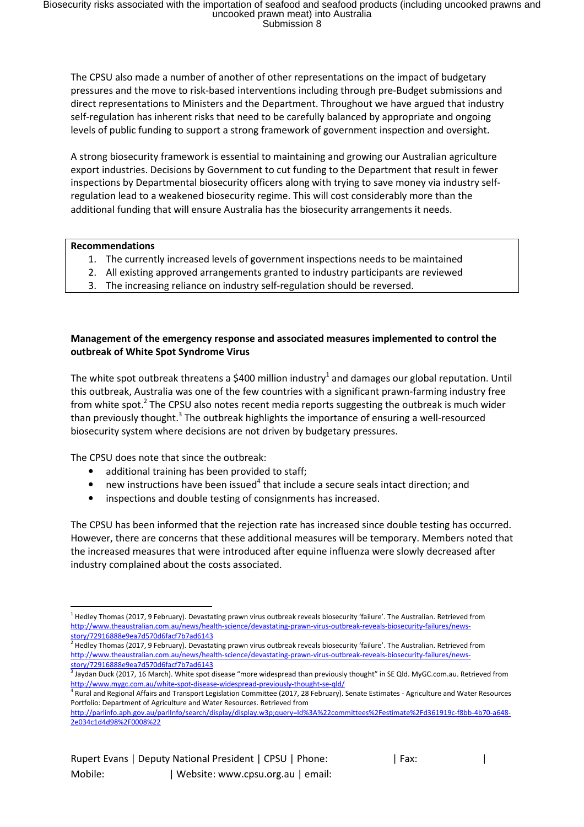The CPSU also made a number of another of other representations on the impact of budgetary pressures and the move to risk-based interventions including through pre-Budget submissions and direct representations to Ministers and the Department. Throughout we have argued that industry self-regulation has inherent risks that need to be carefully balanced by appropriate and ongoing levels of public funding to support a strong framework of government inspection and oversight.

A strong biosecurity framework is essential to maintaining and growing our Australian agriculture export industries. Decisions by Government to cut funding to the Department that result in fewer inspections by Departmental biosecurity officers along with trying to save money via industry selfregulation lead to a weakened biosecurity regime. This will cost considerably more than the additional funding that will ensure Australia has the biosecurity arrangements it needs.

#### **Recommendations**

 $\overline{a}$ 

- 1. The currently increased levels of government inspections needs to be maintained
- 2. All existing approved arrangements granted to industry participants are reviewed
- 3. The increasing reliance on industry self-regulation should be reversed.

### **Management of the emergency response and associated measures implemented to control the outbreak of White Spot Syndrome Virus**

The white spot outbreak threatens a \$400 million industry<sup>1</sup> and damages our global reputation. Until this outbreak, Australia was one of the few countries with a significant prawn-farming industry free from white spot.<sup>2</sup> The CPSU also notes recent media reports suggesting the outbreak is much wider than previously thought.<sup>3</sup> The outbreak highlights the importance of ensuring a well-resourced biosecurity system where decisions are not driven by budgetary pressures.

The CPSU does note that since the outbreak:

- additional training has been provided to staff;
- $\bullet$  new instructions have been issued<sup>4</sup> that include a secure seals intact direction; and
- inspections and double testing of consignments has increased.

The CPSU has been informed that the rejection rate has increased since double testing has occurred. However, there are concerns that these additional measures will be temporary. Members noted that the increased measures that were introduced after equine influenza were slowly decreased after industry complained about the costs associated.

<sup>&</sup>lt;sup>1</sup> Hedley Thomas (2017, 9 February). Devastating prawn virus outbreak reveals biosecurity 'failure'. The Australian. Retrieved from http://www.theaustralian.com.au/news/health-science/devastating-prawn-virus-outbreak-reveals-biosecurity-failures/news-

<sup>&</sup>lt;u>story/72916888e9ea7d570d6facf7b7ad6143</u><br><sup>2</sup> Hedley Thomas (2017, 9 February). Devastating prawn virus outbreak reveals biosecurity 'failure'. The Australian. Retrieved from http://www.theaustralian.com.au/news/health-science/devastating-prawn-virus-outbreak-reveals-biosecurity-failures/newsstory/72916888e9ea7d570d6facf7b7ad6143

<sup>&</sup>lt;sup>3</sup> Jaydan Duck (2017, 16 March). White spot disease "more widespread than previously thought" in SE Qld. MyGC.com.au. Retrieved from http://www.mygc.com.au/white-spot-disease-widespread-previously-thought-se-qld/

<sup>&</sup>lt;sup>4</sup> Rural and Regional Affairs and Transport Legislation Committee (2017, 28 February). Senate Estimates - Agriculture and Water Resources Portfolio: Department of Agriculture and Water Resources. Retrieved from

http://parlinfo.aph.gov.au/parlInfo/search/display/display.w3p;query=Id%3A%22committees%2Festimate%2Fd361919c-f8bb-4b70-a648- 2e034c1d4d98%2F0008%22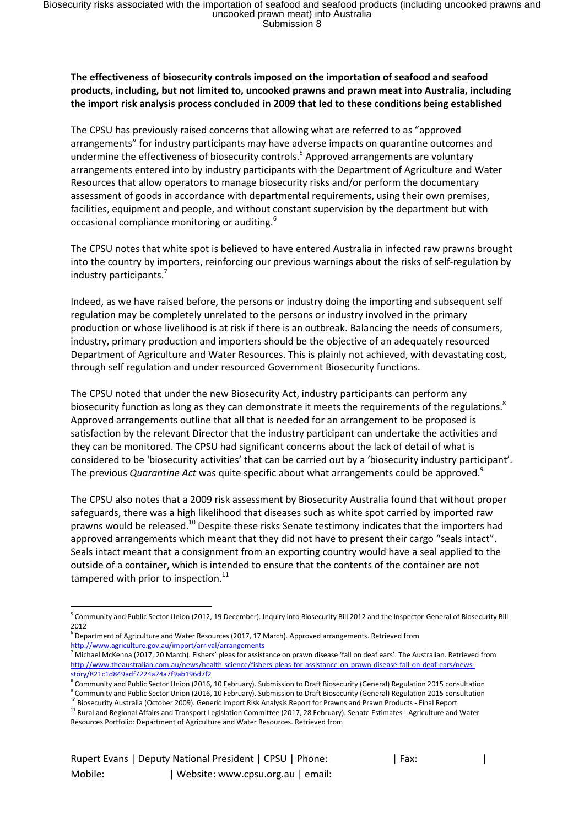## **The effectiveness of biosecurity controls imposed on the importation of seafood and seafood products, including, but not limited to, uncooked prawns and prawn meat into Australia, including the import risk analysis process concluded in 2009 that led to these conditions being established**

The CPSU has previously raised concerns that allowing what are referred to as "approved arrangements" for industry participants may have adverse impacts on quarantine outcomes and undermine the effectiveness of biosecurity controls.<sup>5</sup> Approved arrangements are voluntary arrangements entered into by industry participants with the Department of Agriculture and Water Resources that allow operators to manage biosecurity risks and/or perform the documentary assessment of goods in accordance with departmental requirements, using their own premises, facilities, equipment and people, and without constant supervision by the department but with occasional compliance monitoring or auditing.<sup>6</sup>

The CPSU notes that white spot is believed to have entered Australia in infected raw prawns brought into the country by importers, reinforcing our previous warnings about the risks of self-regulation by industry participants.<sup>7</sup>

Indeed, as we have raised before, the persons or industry doing the importing and subsequent self regulation may be completely unrelated to the persons or industry involved in the primary production or whose livelihood is at risk if there is an outbreak. Balancing the needs of consumers, industry, primary production and importers should be the objective of an adequately resourced Department of Agriculture and Water Resources. This is plainly not achieved, with devastating cost, through self regulation and under resourced Government Biosecurity functions.

The CPSU noted that under the new Biosecurity Act, industry participants can perform any biosecurity function as long as they can demonstrate it meets the requirements of the regulations.<sup>8</sup> Approved arrangements outline that all that is needed for an arrangement to be proposed is satisfaction by the relevant Director that the industry participant can undertake the activities and they can be monitored. The CPSU had significant concerns about the lack of detail of what is considered to be 'biosecurity activities' that can be carried out by a 'biosecurity industry participant'. The previous *Quarantine Act* was quite specific about what arrangements could be approved.<sup>9</sup>

The CPSU also notes that a 2009 risk assessment by Biosecurity Australia found that without proper safeguards, there was a high likelihood that diseases such as white spot carried by imported raw prawns would be released.<sup>10</sup> Despite these risks Senate testimony indicates that the importers had approved arrangements which meant that they did not have to present their cargo "seals intact". Seals intact meant that a consignment from an exporting country would have a seal applied to the outside of a container, which is intended to ensure that the contents of the container are not tampered with prior to inspection. $^{11}$ 

Resources Portfolio: Department of Agriculture and Water Resources. Retrieved from

 $\overline{a}$ 

<sup>&</sup>lt;sup>5</sup> Community and Public Sector Union (2012, 19 December). Inquiry into Biosecurity Bill 2012 and the Inspector-General of Biosecurity Bill 2012

<sup>&</sup>lt;sup>6</sup> Department of Agriculture and Water Resources (2017, 17 March). Approved arrangements. Retrieved from http://www.agriculture.gov.au/import/arrival/arrangements

<sup>&</sup>lt;sup>7</sup> Michael McKenna (2017, 20 March). Fishers' pleas for assistance on prawn disease 'fall on deaf ears'. The Australian. Retrieved from http://www.theaustralian.com.au/news/health-science/fishers-pleas-for-assistance-on-prawn-disease-fall-on-deaf-ears/news-

<sup>&</sup>lt;u>story/821c1d849adf7224a24a7f9ab196d7f2</u><br><sup>8</sup> Community and Public Sector Union (2016, 10 February). Submission to Draft Biosecurity (General) Regulation 2015 consultation <sup>9</sup> Community and Public Sector Union (2016, 10 February). Submission to Draft Biosecurity (General) Regulation 2015 consultation

<sup>&</sup>lt;sup>10</sup> Biosecurity Australia (October 2009). Generic Import Risk Analysis Report for Prawns and Prawn Products - Final Report <sup>11</sup> Rural and Regional Affairs and Transport Legislation Committee (2017, 28 February). Senate Estimates - Agriculture and Water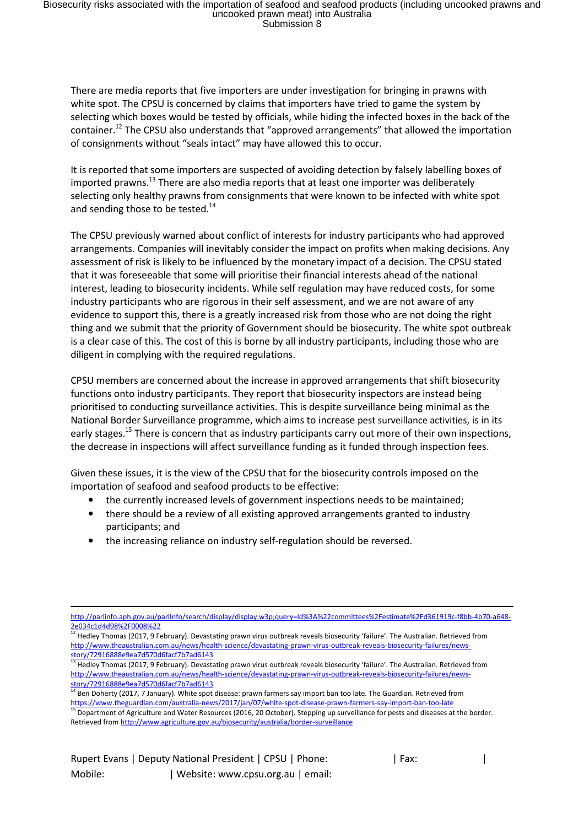There are media reports that five importers are under investigation for bringing in prawns with white spot. The CPSU is concerned by claims that importers have tried to game the system by selecting which boxes would be tested by officials, while hiding the infected boxes in the back of the container.<sup>12</sup> The CPSU also understands that "approved arrangements" that allowed the importation of consignments without "seals intact" may have allowed this to occur.

It is reported that some importers are suspected of avoiding detection by falsely labelling boxes of imported prawns.<sup>13</sup> There are also media reports that at least one importer was deliberately selecting only healthy prawns from consignments that were known to be infected with white spot and sending those to be tested.<sup>14</sup>

The CPSU previously warned about conflict of interests for industry participants who had approved arrangements. Companies will inevitably consider the impact on profits when making decisions. Any assessment of risk is likely to be influenced by the monetary impact of a decision. The CPSU stated that it was foreseeable that some will prioritise their financial interests ahead of the national interest, leading to biosecurity incidents. While self regulation may have reduced costs, for some industry participants who are rigorous in their self assessment, and we are not aware of any evidence to support this, there is a greatly increased risk from those who are not doing the right thing and we submit that the priority of Government should be biosecurity. The white spot outbreak is a clear case of this. The cost of this is borne by all industry participants, including those who are diligent in complying with the required regulations.

CPSU members are concerned about the increase in approved arrangements that shift biosecurity functions onto industry participants. They report that biosecurity inspectors are instead being prioritised to conducting surveillance activities. This is despite surveillance being minimal as the National Border Surveillance programme, which aims to increase pest surveillance activities, is in its early stages.<sup>15</sup> There is concern that as industry participants carry out more of their own inspections, the decrease in inspections will affect surveillance funding as it funded through inspection fees.

Given these issues, it is the view of the CPSU that for the biosecurity controls imposed on the importation of seafood and seafood products to be effective:

- the currently increased levels of government inspections needs to be maintained;
- there should be a review of all existing approved arrangements granted to industry participants; and
- the increasing reliance on industry self-regulation should be reversed.

 $\overline{a}$ 

http://parlinfo.aph.gov.au/parlInfo/search/display/display.w3p;query=Id%3A%22committees%2Festimate%2Fd361919c-f8bb-4b70-a648- 2e034c1d4d98%2F0008%22

<sup>12</sup> Hedley Thomas (2017, 9 February). Devastating prawn virus outbreak reveals biosecurity 'failure'. The Australian. Retrieved from http://www.theaustralian.com.au/news/health-science/devastating-prawn-virus-outbreak-reveals-biosecurity-failures/newsstory/72916888e9ea7d570d6facf7b7ad6143

<sup>&</sup>lt;sup>13</sup> Hedley Thomas (2017, 9 February). Devastating prawn virus outbreak reveals biosecurity 'failure'. The Australian. Retrieved from http://www.theaustralian.com.au/news/health-science/devastating-prawn-virus-outbreak-reveals-biosecurity-failures/newsstory/72916888e9ea7d570d6facf7b7ad6143

 $^{14}$  Ben Doherty (2017, 7 January). White spot disease: prawn farmers say import ban too late. The Guardian. Retrieved from https://www.theguardian.com/australia-news/2017/jan/07/white-spot-disease-prawn-farmers-say-import-ban-too-late

<sup>&</sup>lt;sup>15</sup> Department of Agriculture and Water Resources (2016, 20 October). Stepping up surveillance for pests and diseases at the border. Retrieved from http://www.agriculture.gov.au/biosecurity/australia/border-surveillance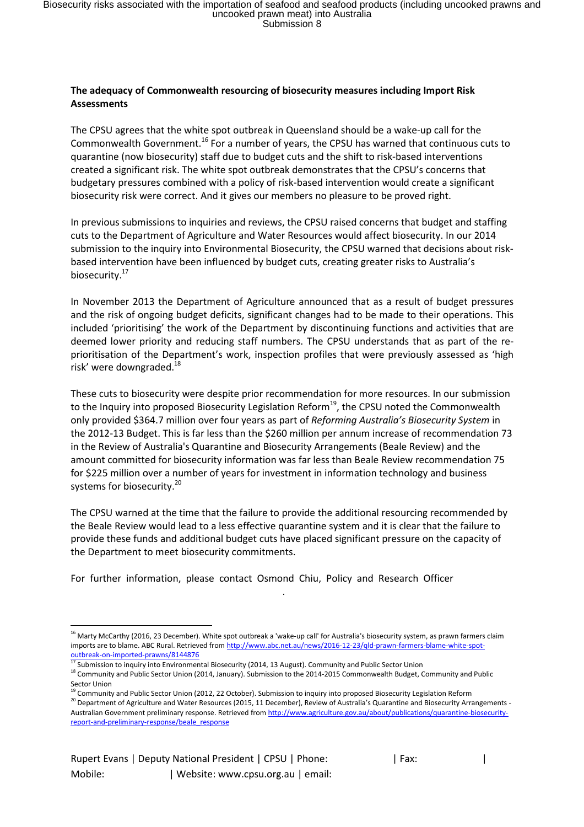### **The adequacy of Commonwealth resourcing of biosecurity measures including Import Risk Assessments**

The CPSU agrees that the white spot outbreak in Queensland should be a wake-up call for the Commonwealth Government.<sup>16</sup> For a number of years, the CPSU has warned that continuous cuts to quarantine (now biosecurity) staff due to budget cuts and the shift to risk-based interventions created a significant risk. The white spot outbreak demonstrates that the CPSU's concerns that budgetary pressures combined with a policy of risk-based intervention would create a significant biosecurity risk were correct. And it gives our members no pleasure to be proved right.

In previous submissions to inquiries and reviews, the CPSU raised concerns that budget and staffing cuts to the Department of Agriculture and Water Resources would affect biosecurity. In our 2014 submission to the inquiry into Environmental Biosecurity, the CPSU warned that decisions about riskbased intervention have been influenced by budget cuts, creating greater risks to Australia's biosecurity.<sup>17</sup>

In November 2013 the Department of Agriculture announced that as a result of budget pressures and the risk of ongoing budget deficits, significant changes had to be made to their operations. This included 'prioritising' the work of the Department by discontinuing functions and activities that are deemed lower priority and reducing staff numbers. The CPSU understands that as part of the reprioritisation of the Department's work, inspection profiles that were previously assessed as 'high risk' were downgraded.<sup>18</sup>

These cuts to biosecurity were despite prior recommendation for more resources. In our submission to the Inquiry into proposed Biosecurity Legislation Reform $^{19}$ , the CPSU noted the Commonwealth only provided \$364.7 million over four years as part of *Reforming Australia's Biosecurity System* in the 2012-13 Budget. This is far less than the \$260 million per annum increase of recommendation 73 in the Review of Australia's Quarantine and Biosecurity Arrangements (Beale Review) and the amount committed for biosecurity information was far less than Beale Review recommendation 75 for \$225 million over a number of years for investment in information technology and business systems for biosecurity.<sup>20</sup>

The CPSU warned at the time that the failure to provide the additional resourcing recommended by the Beale Review would lead to a less effective quarantine system and it is clear that the failure to provide these funds and additional budget cuts have placed significant pressure on the capacity of the Department to meet biosecurity commitments.

For further information, please contact Osmond Chiu, Policy and Research Officer

.

l

<sup>&</sup>lt;sup>16</sup> Marty McCarthy (2016, 23 December). White spot outbreak a 'wake-up call' for Australia's biosecurity system, as prawn farmers claim imports are to blame. ABC Rural. Retrieved from http://www.abc.net.au/news/2016-12-23/qld-prawn-farmers-blame-white-spotoutbreak-on-imported-prawns/8144876

 $^{17}$  Submission to inquiry into Environmental Biosecurity (2014, 13 August). Community and Public Sector Union

<sup>&</sup>lt;sup>18</sup> Community and Public Sector Union (2014, January). Submission to the 2014-2015 Commonwealth Budget, Community and Public Sector Union

<sup>&</sup>lt;sup>19</sup> Community and Public Sector Union (2012, 22 October). Submission to inquiry into proposed Biosecurity Legislation Reform

<sup>&</sup>lt;sup>20</sup> Department of Agriculture and Water Resources (2015, 11 December), Review of Australia's Quarantine and Biosecurity Arrangements -Australian Government preliminary response. Retrieved from http://www.agriculture.gov.au/about/publications/quarantine-biosecurityreport-and-preliminary-response/beale\_response